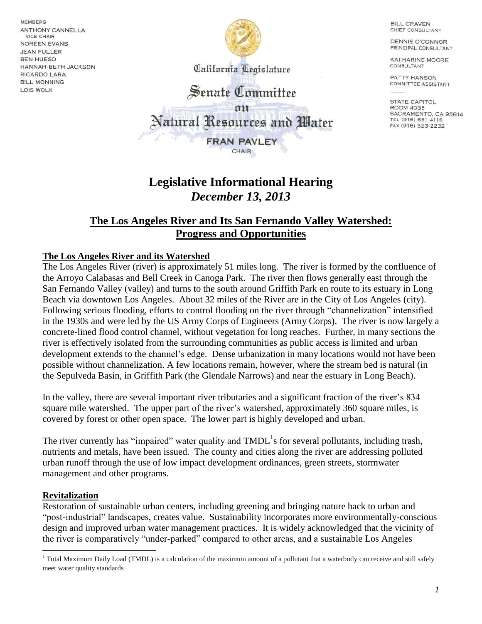**MEMBERS ANTHONY CANNELLA VICE CHAIR** NOREEN EVANS **JEAN FULLER BEN HUESO** HANNAH-BETH JACKSON **RICARDO LARA BILL MONNING** LOIS WOLK



California Legislature

# Senate Committee

Natural Resources and Water

**FRAN PAVLEY** CHAIR

## **Legislative Informational Hearing** *December 13, 2013*

### **The Los Angeles River and Its San Fernando Valley Watershed: Progress and Opportunities**

#### **The Los Angeles River and its Watershed**

The Los Angeles River (river) is approximately 51 miles long. The river is formed by the confluence of the Arroyo Calabasas and Bell Creek in Canoga Park. The river then flows generally east through the San Fernando Valley (valley) and turns to the south around Griffith Park en route to its estuary in Long Beach via downtown Los Angeles. About 32 miles of the River are in the City of Los Angeles (city). Following serious flooding, efforts to control flooding on the river through "channelization" intensified in the 1930s and were led by the US Army Corps of Engineers (Army Corps). The river is now largely a concrete-lined flood control channel, without vegetation for long reaches. Further, in many sections the river is effectively isolated from the surrounding communities as public access is limited and urban development extends to the channel's edge. Dense urbanization in many locations would not have been possible without channelization. A few locations remain, however, where the stream bed is natural (in the Sepulveda Basin, in Griffith Park (the Glendale Narrows) and near the estuary in Long Beach).

In the valley, there are several important river tributaries and a significant fraction of the river's 834 square mile watershed. The upper part of the river's watershed, approximately 360 square miles, is covered by forest or other open space. The lower part is highly developed and urban.

The river currently has "impaired" water quality and  $TMDL<sup>1</sup>$ s for several pollutants, including trash, nutrients and metals, have been issued. The county and cities along the river are addressing polluted urban runoff through the use of low impact development ordinances, green streets, stormwater management and other programs.

#### **Revitalization**

Restoration of sustainable urban centers, including greening and bringing nature back to urban and "post-industrial" landscapes, creates value. Sustainability incorporates more environmentally-conscious design and improved urban water management practices. It is widely acknowledged that the vicinity of the river is comparatively "under-parked" compared to other areas, and a sustainable Los Angeles

**BILL CRAVEN** CHIEF CONSULTANT

**DENNIS O'CONNOR** PRINCIPAL CONSULTANT

KATHARINE MOORE CONSULTANT

PATTY HANSON **COMMITTEE ASSISTANT** 

**STATE CAPITOL ROOM 4035** SACRAMENTO, CA 95814 TEL (916) 651-4116 FAX (916) 323-2232

 $\overline{a}$ <sup>1</sup> Total Maximum Daily Load (TMDL) is a calculation of the maximum amount of a pollutant that a waterbody can receive and still safely meet water quality standards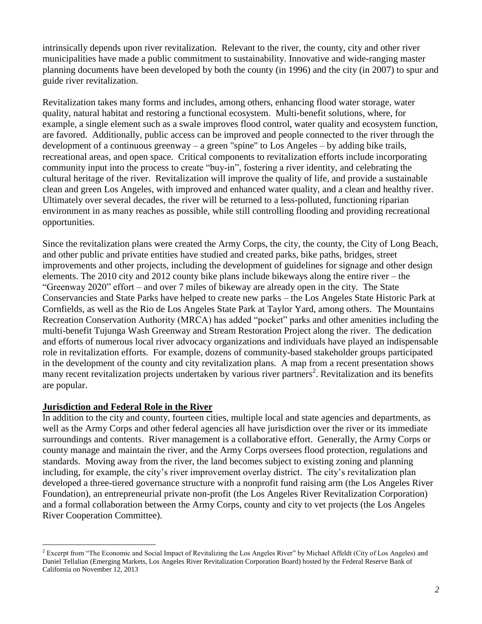intrinsically depends upon river revitalization. Relevant to the river, the county, city and other river municipalities have made a public commitment to sustainability. Innovative and wide-ranging master planning documents have been developed by both the county (in 1996) and the city (in 2007) to spur and guide river revitalization.

Revitalization takes many forms and includes, among others, enhancing flood water storage, water quality, natural habitat and restoring a functional ecosystem. Multi-benefit solutions, where, for example, a single element such as a swale improves flood control, water quality and ecosystem function, are favored. Additionally, public access can be improved and people connected to the river through the development of a continuous greenway – a green "spine" to Los Angeles – by adding bike trails, recreational areas, and open space. Critical components to revitalization efforts include incorporating community input into the process to create "buy-in", fostering a river identity, and celebrating the cultural heritage of the river. Revitalization will improve the quality of life, and provide a sustainable clean and green Los Angeles, with improved and enhanced water quality, and a clean and healthy river. Ultimately over several decades, the river will be returned to a less-polluted, functioning riparian environment in as many reaches as possible, while still controlling flooding and providing recreational opportunities.

Since the revitalization plans were created the Army Corps, the city, the county, the City of Long Beach, and other public and private entities have studied and created parks, bike paths, bridges, street improvements and other projects, including the development of guidelines for signage and other design elements. The 2010 city and 2012 county bike plans include bikeways along the entire river – the "Greenway 2020" effort – and over 7 miles of bikeway are already open in the city. The State Conservancies and State Parks have helped to create new parks – the Los Angeles State Historic Park at Cornfields, as well as the Rio de Los Angeles State Park at Taylor Yard, among others. The Mountains Recreation Conservation Authority (MRCA) has added "pocket" parks and other amenities including the multi-benefit Tujunga Wash Greenway and Stream Restoration Project along the river. The dedication and efforts of numerous local river advocacy organizations and individuals have played an indispensable role in revitalization efforts. For example, dozens of community-based stakeholder groups participated in the development of the county and city revitalization plans. A map from a recent presentation shows many recent revitalization projects undertaken by various river partners<sup>2</sup>. Revitalization and its benefits are popular.

#### **Jurisdiction and Federal Role in the River**

In addition to the city and county, fourteen cities, multiple local and state agencies and departments, as well as the Army Corps and other federal agencies all have jurisdiction over the river or its immediate surroundings and contents. River management is a collaborative effort. Generally, the Army Corps or county manage and maintain the river, and the Army Corps oversees flood protection, regulations and standards. Moving away from the river, the land becomes subject to existing zoning and planning including, for example, the city's river improvement overlay district. The city's revitalization plan developed a three-tiered governance structure with a nonprofit fund raising arm (the Los Angeles River Foundation), an entrepreneurial private non-profit (the Los Angeles River Revitalization Corporation) and a formal collaboration between the Army Corps, county and city to vet projects (the Los Angeles River Cooperation Committee).

 $\overline{\phantom{a}}$ <sup>2</sup> Excerpt from "The Economic and Social Impact of Revitalizing the Los Angeles River" by Michael Affeldt (City of Los Angeles) and Daniel Tellalian (Emerging Markets, Los Angeles River Revitalization Corporation Board) hosted by the Federal Reserve Bank of California on November 12, 2013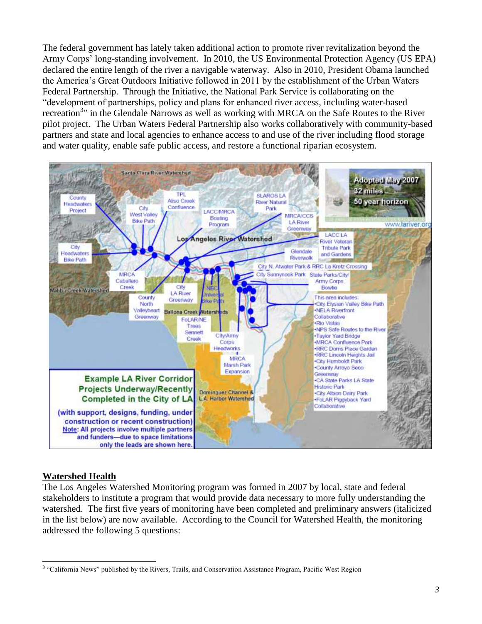The federal government has lately taken additional action to promote river revitalization beyond the Army Corps' long-standing involvement. In 2010, the US Environmental Protection Agency (US EPA) declared the entire length of the river a navigable waterway. Also in 2010, President Obama launched the America's Great Outdoors Initiative followed in 2011 by the establishment of the Urban Waters Federal Partnership. Through the Initiative, the National Park Service is collaborating on the "development of partnerships, policy and plans for enhanced river access, including water-based recreation<sup>3</sup><sup>3</sup> in the Glendale Narrows as well as working with MRCA on the Safe Routes to the River pilot project. The Urban Waters Federal Partnership also works collaboratively with community-based partners and state and local agencies to enhance access to and use of the river including flood storage and water quality, enable safe public access, and restore a functional riparian ecosystem.



#### **Watershed Health**

The Los Angeles Watershed Monitoring program was formed in 2007 by local, state and federal stakeholders to institute a program that would provide data necessary to more fully understanding the watershed. The first five years of monitoring have been completed and preliminary answers (italicized in the list below) are now available. According to the Council for Watershed Health, the monitoring addressed the following 5 questions:

<sup>&</sup>lt;sup>3</sup> "California News" published by the Rivers, Trails, and Conservation Assistance Program, Pacific West Region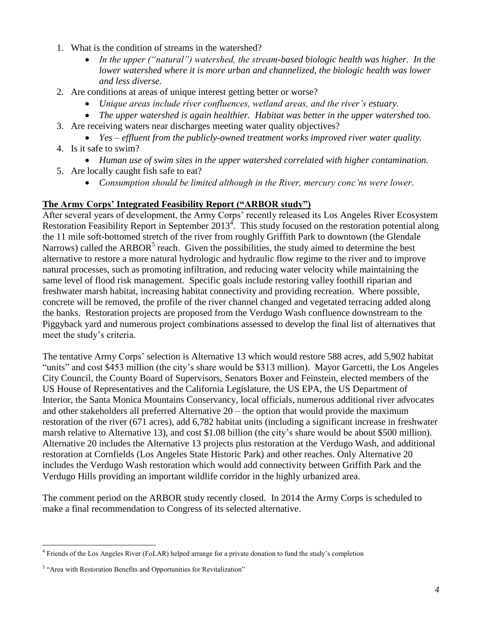- 1. What is the condition of streams in the watershed?
	- *In the upper ("natural") watershed, the stream-based biologic health was higher. In the lower watershed where it is more urban and channelized, the biologic health was lower and less diverse.*
- 2. Are conditions at areas of unique interest getting better or worse?
	- *Unique areas include river confluences, wetland areas, and the river's estuary.*
- *The upper watershed is again healthier. Habitat was better in the upper watershed too.* 3. Are receiving waters near discharges meeting water quality objectives?
	- *Yes – effluent from the publicly-owned treatment works improved river water quality.*
- 4. Is it safe to swim?
	- *Human use of swim sites in the upper watershed correlated with higher contamination.*
- 5. Are locally caught fish safe to eat?
	- *Consumption should be limited although in the River, mercury conc'ns were lower.*

#### **The Army Corps' Integrated Feasibility Report ("ARBOR study")**

After several years of development, the Army Corps' recently released its Los Angeles River Ecosystem Restoration Feasibility Report in September 2013<sup>4</sup>. This study focused on the restoration potential along the 11 mile soft-bottomed stretch of the river from roughly Griffith Park to downtown (the Glendale Narrows) called the ARBOR<sup>5</sup> reach. Given the possibilities, the study aimed to determine the best alternative to restore a more natural hydrologic and hydraulic flow regime to the river and to improve natural processes, such as promoting infiltration, and reducing water velocity while maintaining the same level of flood risk management. Specific goals include restoring valley foothill riparian and freshwater marsh habitat, increasing habitat connectivity and providing recreation. Where possible, concrete will be removed, the profile of the river channel changed and vegetated terracing added along the banks. Restoration projects are proposed from the Verdugo Wash confluence downstream to the Piggyback yard and numerous project combinations assessed to develop the final list of alternatives that meet the study's criteria.

The tentative Army Corps' selection is Alternative 13 which would restore 588 acres, add 5,902 habitat "units" and cost \$453 million (the city's share would be \$313 million). Mayor Garcetti, the Los Angeles City Council, the County Board of Supervisors, Senators Boxer and Feinstein, elected members of the US House of Representatives and the California Legislature, the US EPA, the US Department of Interior, the Santa Monica Mountains Conservancy, local officials, numerous additional river advocates and other stakeholders all preferred Alternative 20 – the option that would provide the maximum restoration of the river (671 acres), add 6,782 habitat units (including a significant increase in freshwater marsh relative to Alternative 13), and cost \$1.08 billion (the city's share would be about \$500 million). Alternative 20 includes the Alternative 13 projects plus restoration at the Verdugo Wash, and additional restoration at Cornfields (Los Angeles State Historic Park) and other reaches. Only Alternative 20 includes the Verdugo Wash restoration which would add connectivity between Griffith Park and the Verdugo Hills providing an important wildlife corridor in the highly urbanized area.

The comment period on the ARBOR study recently closed. In 2014 the Army Corps is scheduled to make a final recommendation to Congress of its selected alternative.

 $\overline{\phantom{a}}$ 

<sup>4</sup> Friends of the Los Angeles River (FoLAR) helped arrange for a private donation to fund the study's completion

<sup>&</sup>lt;sup>5</sup> "Area with Restoration Benefits and Opportunities for Revitalization"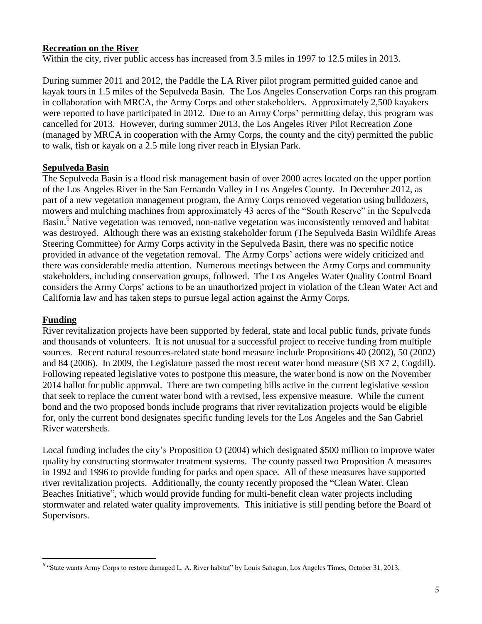#### **Recreation on the River**

Within the city, river public access has increased from 3.5 miles in 1997 to 12.5 miles in 2013.

During summer 2011 and 2012, the Paddle the LA River pilot program permitted guided canoe and kayak tours in 1.5 miles of the Sepulveda Basin. The Los Angeles Conservation Corps ran this program in collaboration with MRCA, the Army Corps and other stakeholders. Approximately 2,500 kayakers were reported to have participated in 2012. Due to an Army Corps' permitting delay, this program was cancelled for 2013. However, during summer 2013, the Los Angeles River Pilot Recreation Zone (managed by MRCA in cooperation with the Army Corps, the county and the city) permitted the public to walk, fish or kayak on a 2.5 mile long river reach in Elysian Park.

#### **Sepulveda Basin**

The Sepulveda Basin is a flood risk management basin of over 2000 acres located on the upper portion of the Los Angeles River in the San Fernando Valley in Los Angeles County. In December 2012, as part of a new vegetation management program, the Army Corps removed vegetation using bulldozers, mowers and mulching machines from approximately 43 acres of the "South Reserve" in the Sepulveda Basin.<sup>6</sup> Native vegetation was removed, non-native vegetation was inconsistently removed and habitat was destroyed. Although there was an existing stakeholder forum (The Sepulveda Basin Wildlife Areas Steering Committee) for Army Corps activity in the Sepulveda Basin, there was no specific notice provided in advance of the vegetation removal. The Army Corps' actions were widely criticized and there was considerable media attention. Numerous meetings between the Army Corps and community stakeholders, including conservation groups, followed. The Los Angeles Water Quality Control Board considers the Army Corps' actions to be an unauthorized project in violation of the Clean Water Act and California law and has taken steps to pursue legal action against the Army Corps.

#### **Funding**

 $\overline{\phantom{a}}$ 

River revitalization projects have been supported by federal, state and local public funds, private funds and thousands of volunteers. It is not unusual for a successful project to receive funding from multiple sources. Recent natural resources-related state bond measure include Propositions 40 (2002), 50 (2002) and 84 (2006). In 2009, the Legislature passed the most recent water bond measure (SB X7 2, Cogdill). Following repeated legislative votes to postpone this measure, the water bond is now on the November 2014 ballot for public approval. There are two competing bills active in the current legislative session that seek to replace the current water bond with a revised, less expensive measure. While the current bond and the two proposed bonds include programs that river revitalization projects would be eligible for, only the current bond designates specific funding levels for the Los Angeles and the San Gabriel River watersheds.

Local funding includes the city's Proposition O (2004) which designated \$500 million to improve water quality by constructing stormwater treatment systems. The county passed two Proposition A measures in 1992 and 1996 to provide funding for parks and open space. All of these measures have supported river revitalization projects. Additionally, the county recently proposed the "Clean Water, Clean Beaches Initiative", which would provide funding for multi-benefit clean water projects including stormwater and related water quality improvements. This initiative is still pending before the Board of Supervisors.

<sup>&</sup>lt;sup>6</sup> "State wants Army Corps to restore damaged L. A. River habitat" by Louis Sahagun, Los Angeles Times, October 31, 2013.